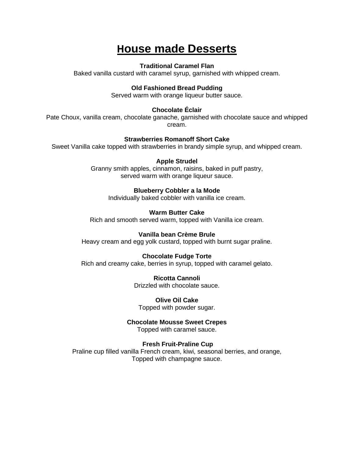## **House made Desserts**

### **Traditional Caramel Flan**

Baked vanilla custard with caramel syrup, garnished with whipped cream.

### **Old Fashioned Bread Pudding**

Served warm with orange liqueur butter sauce.

## **Chocolate Éclair**

Pate Choux, vanilla cream, chocolate ganache, garnished with chocolate sauce and whipped cream.

#### **Strawberries Romanoff Short Cake**

Sweet Vanilla cake topped with strawberries in brandy simple syrup, and whipped cream.

#### **Apple Strudel**

Granny smith apples, cinnamon, raisins, baked in puff pastry, served warm with orange liqueur sauce.

#### **Blueberry Cobbler a la Mode**

Individually baked cobbler with vanilla ice cream.

#### **Warm Butter Cake**

Rich and smooth served warm, topped with Vanilla ice cream.

#### **Vanilla bean Crème Brule**

Heavy cream and egg yolk custard, topped with burnt sugar praline.

#### **Chocolate Fudge Torte**

Rich and creamy cake, berries in syrup, topped with caramel gelato.

**Ricotta Cannoli**

Drizzled with chocolate sauce.

**Olive Oil Cake** Topped with powder sugar.

#### **Chocolate Mousse Sweet Crepes**

Topped with caramel sauce.

#### **Fresh Fruit-Praline Cup**

Praline cup filled vanilla French cream, kiwi, seasonal berries, and orange, Topped with champagne sauce.